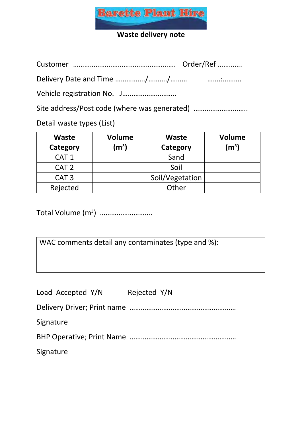

## **Waste delivery note**

Customer ………………………………………………. Order/Ref ………….

Delivery Date and Time ……………./………./……… …….:……….

Vehicle registration No. J………………………..

Site address/Post code (where was generated) ...................................

Detail waste types (List)

| <b>Waste</b><br>Category | <b>Volume</b><br>$\mathsf{M}^3$ | <b>Waste</b><br>Category | <b>Volume</b><br>$\mathsf{(m^3)}$ |
|--------------------------|---------------------------------|--------------------------|-----------------------------------|
| CAT <sub>1</sub>         |                                 | Sand                     |                                   |
| CAT <sub>2</sub>         |                                 | Soil                     |                                   |
| CAT <sub>3</sub>         |                                 | Soil/Vegetation          |                                   |
| Rejected                 |                                 | Other                    |                                   |

Total Volume (m<sup>3</sup>) …………………………

WAC comments detail any contaminates (type and %):

| Load Accepted Y/N | Rejected Y/N |
|-------------------|--------------|
|                   |              |
| Signature         |              |
|                   |              |
| Signature         |              |